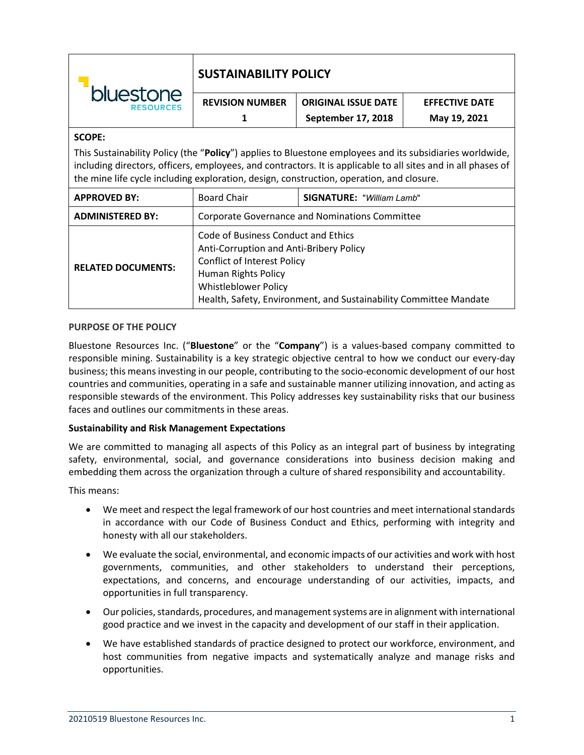| bluestone<br><b>RESOURCES</b>                                                                                                                                                                                                                                                                                         | <b>SUSTAINABILITY POLICY</b>                                                                                                                       |                                  |                       |
|-----------------------------------------------------------------------------------------------------------------------------------------------------------------------------------------------------------------------------------------------------------------------------------------------------------------------|----------------------------------------------------------------------------------------------------------------------------------------------------|----------------------------------|-----------------------|
|                                                                                                                                                                                                                                                                                                                       | <b>REVISION NUMBER</b>                                                                                                                             | <b>ORIGINAL ISSUE DATE</b>       | <b>EFFECTIVE DATE</b> |
|                                                                                                                                                                                                                                                                                                                       |                                                                                                                                                    | September 17, 2018               | May 19, 2021          |
| <b>SCOPE:</b>                                                                                                                                                                                                                                                                                                         |                                                                                                                                                    |                                  |                       |
| This Sustainability Policy (the "Policy") applies to Bluestone employees and its subsidiaries worldwide,<br>including directors, officers, employees, and contractors. It is applicable to all sites and in all phases of<br>the mine life cycle including exploration, design, construction, operation, and closure. |                                                                                                                                                    |                                  |                       |
| <b>APPROVED BY:</b>                                                                                                                                                                                                                                                                                                   | <b>Board Chair</b>                                                                                                                                 | <b>SIGNATURE: "William Lamb"</b> |                       |
| <b>ADMINISTERED BY:</b>                                                                                                                                                                                                                                                                                               | <b>Corporate Governance and Nominations Committee</b>                                                                                              |                                  |                       |
| <b>RELATED DOCUMENTS:</b>                                                                                                                                                                                                                                                                                             | Code of Business Conduct and Ethics<br>Anti-Corruption and Anti-Bribery Policy<br><b>Conflict of Interest Policy</b><br><b>Human Rights Policy</b> |                                  |                       |

# **PURPOSE OF THE POLICY**

Bluestone Resources Inc. ("**Bluestone**" or the "**Company**") is a values-based company committed to responsible mining. Sustainability is a key strategic objective central to how we conduct our every-day business; this means investing in our people, contributing to the socio-economic development of our host countries and communities, operating in a safe and sustainable manner utilizing innovation, and acting as responsible stewards of the environment. This Policy addresses key sustainability risks that our business faces and outlines our commitments in these areas.

Health, Safety, Environment, and Sustainability Committee Mandate

Whistleblower Policy

### **Sustainability and Risk Management Expectations**

We are committed to managing all aspects of this Policy as an integral part of business by integrating safety, environmental, social, and governance considerations into business decision making and embedding them across the organization through a culture of shared responsibility and accountability.

This means:

- We meet and respect the legal framework of our host countries and meet international standards in accordance with our Code of Business Conduct and Ethics, performing with integrity and honesty with all our stakeholders.
- We evaluate the social, environmental, and economic impacts of our activities and work with host governments, communities, and other stakeholders to understand their perceptions, expectations, and concerns, and encourage understanding of our activities, impacts, and opportunities in full transparency.
- Our policies, standards, procedures, and management systems are in alignment with international good practice and we invest in the capacity and development of our staff in their application.
- We have established standards of practice designed to protect our workforce, environment, and host communities from negative impacts and systematically analyze and manage risks and opportunities.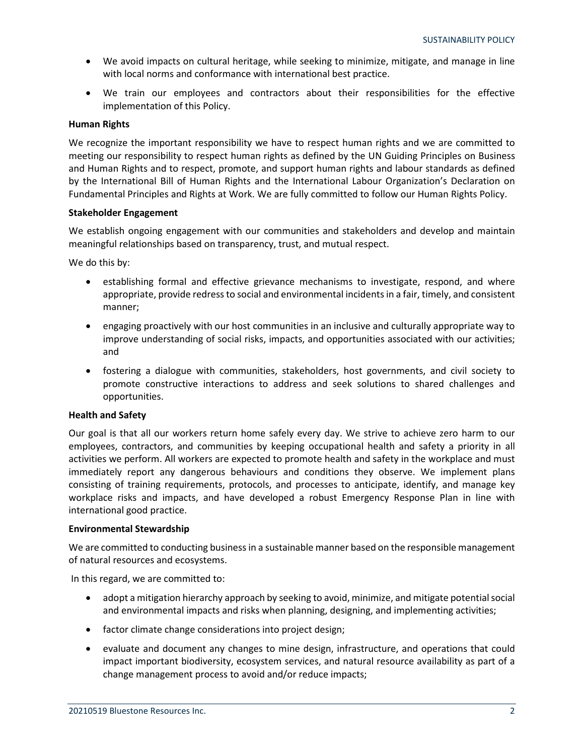- We avoid impacts on cultural heritage, while seeking to minimize, mitigate, and manage in line with local norms and conformance with international best practice.
- We train our employees and contractors about their responsibilities for the effective implementation of this Policy.

## **Human Rights**

We recognize the important responsibility we have to respect human rights and we are committed to meeting our responsibility to respect human rights as defined by the UN Guiding Principles on Business and Human Rights and to respect, promote, and support human rights and labour standards as defined by the International Bill of Human Rights and the International Labour Organization's Declaration on Fundamental Principles and Rights at Work. We are fully committed to follow our Human Rights Policy.

### **Stakeholder Engagement**

We establish ongoing engagement with our communities and stakeholders and develop and maintain meaningful relationships based on transparency, trust, and mutual respect.

We do this by:

- establishing formal and effective grievance mechanisms to investigate, respond, and where appropriate, provide redress to social and environmental incidents in a fair, timely, and consistent manner;
- engaging proactively with our host communities in an inclusive and culturally appropriate way to improve understanding of social risks, impacts, and opportunities associated with our activities; and
- fostering a dialogue with communities, stakeholders, host governments, and civil society to promote constructive interactions to address and seek solutions to shared challenges and opportunities.

### **Health and Safety**

Our goal is that all our workers return home safely every day. We strive to achieve zero harm to our employees, contractors, and communities by keeping occupational health and safety a priority in all activities we perform. All workers are expected to promote health and safety in the workplace and must immediately report any dangerous behaviours and conditions they observe. We implement plans consisting of training requirements, protocols, and processes to anticipate, identify, and manage key workplace risks and impacts, and have developed a robust Emergency Response Plan in line with international good practice.

### **Environmental Stewardship**

We are committed to conducting business in a sustainable manner based on the responsible management of natural resources and ecosystems.

In this regard, we are committed to:

- adopt a mitigation hierarchy approach by seeking to avoid, minimize, and mitigate potential social and environmental impacts and risks when planning, designing, and implementing activities;
- factor climate change considerations into project design;
- evaluate and document any changes to mine design, infrastructure, and operations that could impact important biodiversity, ecosystem services, and natural resource availability as part of a change management process to avoid and/or reduce impacts;